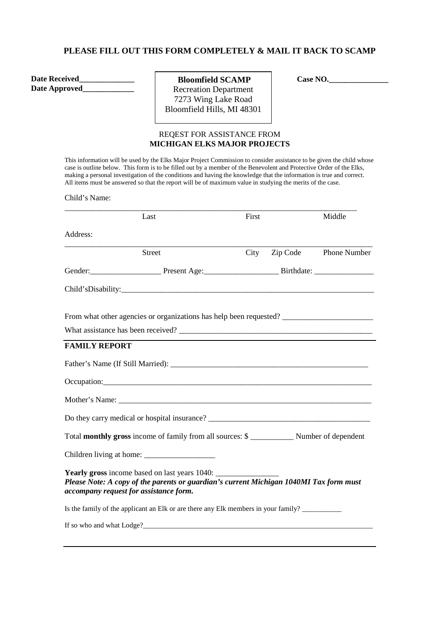### **PLEASE FILL OUT THIS FORM COMPLETELY & MAIL IT BACK TO SCAMP**

**Date Received\_\_\_\_\_\_\_\_\_\_\_\_\_\_ Date Approved\_\_\_\_\_\_\_\_\_\_\_\_\_** 

**Bloomfield SCAMP Case NO.\_\_\_\_\_\_\_\_\_\_\_\_\_\_\_\_\_\_** Recreation Department 7273 Wing Lake Road Bloomfield Hills, MI 48301

# REQEST FOR ASSISTANCE FROM **MICHIGAN ELKS MAJOR PROJECTS**

This information will be used by the Elks Major Project Commission to consider assistance to be given the child whose case is outline below. This form is to be filled out by a member of the Benevolent and Protective Order of the Elks, making a personal investigation of the conditions and having the knowledge that the information is true and correct. All items must be answered so that the report will be of maximum value in studying the merits of the case.

Child's Name:

|                      | Last                                                                                                                             | First |          | Middle       |
|----------------------|----------------------------------------------------------------------------------------------------------------------------------|-------|----------|--------------|
| Address:             |                                                                                                                                  |       |          |              |
|                      | <b>Street</b>                                                                                                                    | City  | Zip Code | Phone Number |
|                      |                                                                                                                                  |       |          |              |
|                      |                                                                                                                                  |       |          |              |
|                      | From what other agencies or organizations has help been requested? _________________________________                             |       |          |              |
|                      |                                                                                                                                  |       |          |              |
| <b>FAMILY REPORT</b> |                                                                                                                                  |       |          |              |
|                      |                                                                                                                                  |       |          |              |
|                      |                                                                                                                                  |       |          |              |
|                      |                                                                                                                                  |       |          |              |
|                      |                                                                                                                                  |       |          |              |
|                      |                                                                                                                                  |       |          |              |
|                      |                                                                                                                                  |       |          |              |
|                      | Please Note: A copy of the parents or guardian's current Michigan 1040MI Tax form must<br>accompany request for assistance form. |       |          |              |
|                      | Is the family of the applicant an Elk or are there any Elk members in your family?                                               |       |          |              |
|                      | If so who and what Lodge?                                                                                                        |       |          |              |